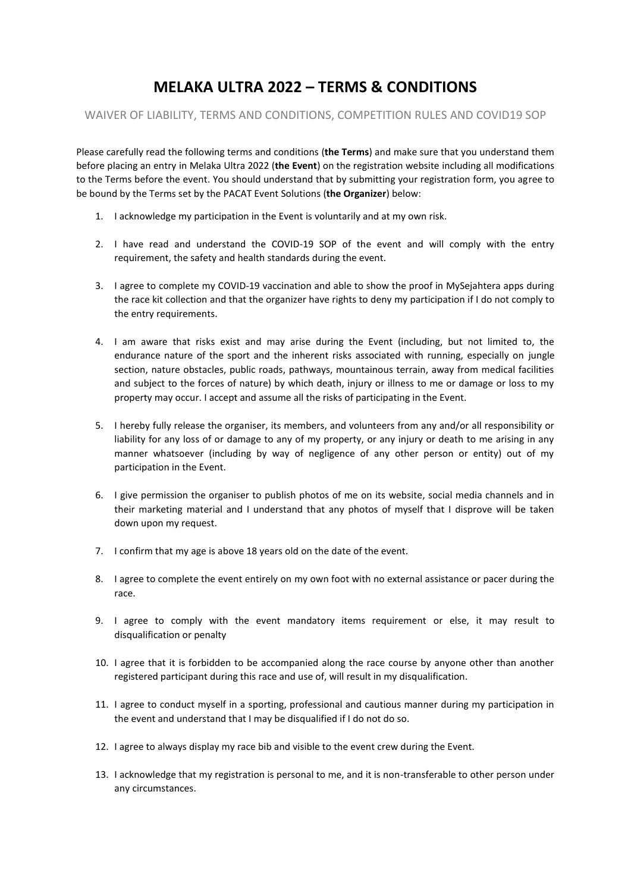# **MELAKA ULTRA 2022 – TERMS & CONDITIONS**

# WAIVER OF LIABILITY, TERMS AND CONDITIONS, COMPETITION RULES AND COVID19 SOP

Please carefully read the following terms and conditions (**the Terms**) and make sure that you understand them before placing an entry in Melaka Ultra 2022 (**the Event**) on the registration website including all modifications to the Terms before the event. You should understand that by submitting your registration form, you agree to be bound by the Terms set by the PACAT Event Solutions (**the Organizer**) below:

- 1. I acknowledge my participation in the Event is voluntarily and at my own risk.
- 2. I have read and understand the COVID-19 SOP of the event and will comply with the entry requirement, the safety and health standards during the event.
- 3. I agree to complete my COVID-19 vaccination and able to show the proof in MySejahtera apps during the race kit collection and that the organizer have rights to deny my participation if I do not comply to the entry requirements.
- 4. I am aware that risks exist and may arise during the Event (including, but not limited to, the endurance nature of the sport and the inherent risks associated with running, especially on jungle section, nature obstacles, public roads, pathways, mountainous terrain, away from medical facilities and subject to the forces of nature) by which death, injury or illness to me or damage or loss to my property may occur. I accept and assume all the risks of participating in the Event.
- 5. I hereby fully release the organiser, its members, and volunteers from any and/or all responsibility or liability for any loss of or damage to any of my property, or any injury or death to me arising in any manner whatsoever (including by way of negligence of any other person or entity) out of my participation in the Event.
- 6. I give permission the organiser to publish photos of me on its website, social media channels and in their marketing material and I understand that any photos of myself that I disprove will be taken down upon my request.
- 7. I confirm that my age is above 18 years old on the date of the event.
- 8. I agree to complete the event entirely on my own foot with no external assistance or pacer during the race.
- 9. I agree to comply with the event mandatory items requirement or else, it may result to disqualification or penalty
- 10. I agree that it is forbidden to be accompanied along the race course by anyone other than another registered participant during this race and use of, will result in my disqualification.
- 11. I agree to conduct myself in a sporting, professional and cautious manner during my participation in the event and understand that I may be disqualified if I do not do so.
- 12. I agree to always display my race bib and visible to the event crew during the Event.
- 13. I acknowledge that my registration is personal to me, and it is non-transferable to other person under any circumstances.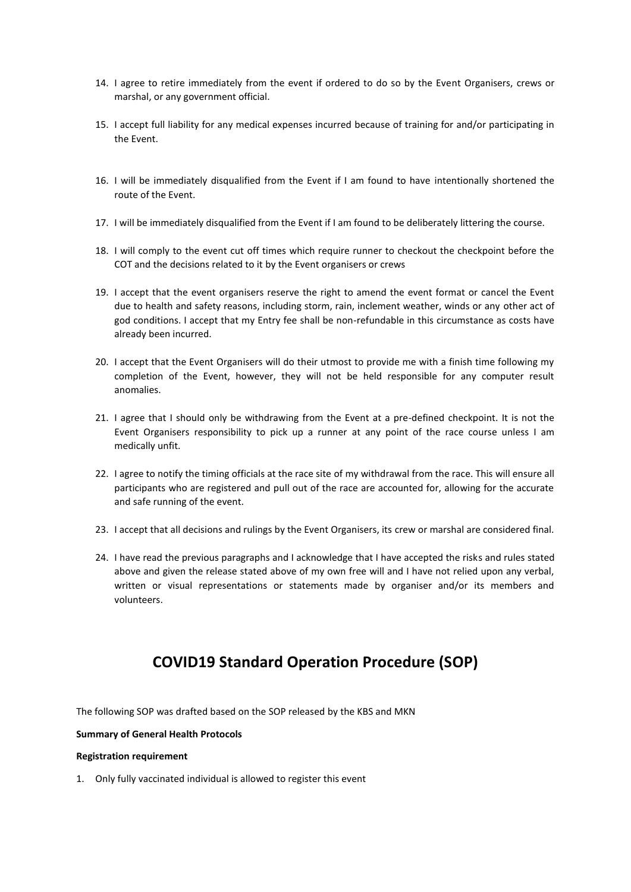- 14. I agree to retire immediately from the event if ordered to do so by the Event Organisers, crews or marshal, or any government official.
- 15. I accept full liability for any medical expenses incurred because of training for and/or participating in the Event.
- 16. I will be immediately disqualified from the Event if I am found to have intentionally shortened the route of the Event.
- 17. I will be immediately disqualified from the Event if I am found to be deliberately littering the course.
- 18. I will comply to the event cut off times which require runner to checkout the checkpoint before the COT and the decisions related to it by the Event organisers or crews
- 19. I accept that the event organisers reserve the right to amend the event format or cancel the Event due to health and safety reasons, including storm, rain, inclement weather, winds or any other act of god conditions. I accept that my Entry fee shall be non-refundable in this circumstance as costs have already been incurred.
- 20. I accept that the Event Organisers will do their utmost to provide me with a finish time following my completion of the Event, however, they will not be held responsible for any computer result anomalies.
- 21. I agree that I should only be withdrawing from the Event at a pre-defined checkpoint. It is not the Event Organisers responsibility to pick up a runner at any point of the race course unless I am medically unfit.
- 22. I agree to notify the timing officials at the race site of my withdrawal from the race. This will ensure all participants who are registered and pull out of the race are accounted for, allowing for the accurate and safe running of the event.
- 23. I accept that all decisions and rulings by the Event Organisers, its crew or marshal are considered final.
- 24. I have read the previous paragraphs and I acknowledge that I have accepted the risks and rules stated above and given the release stated above of my own free will and I have not relied upon any verbal, written or visual representations or statements made by organiser and/or its members and volunteers.

# **COVID19 Standard Operation Procedure (SOP)**

The following SOP was drafted based on the SOP released by the KBS and MKN

# **Summary of General Health Protocols**

## **Registration requirement**

1. Only fully vaccinated individual is allowed to register this event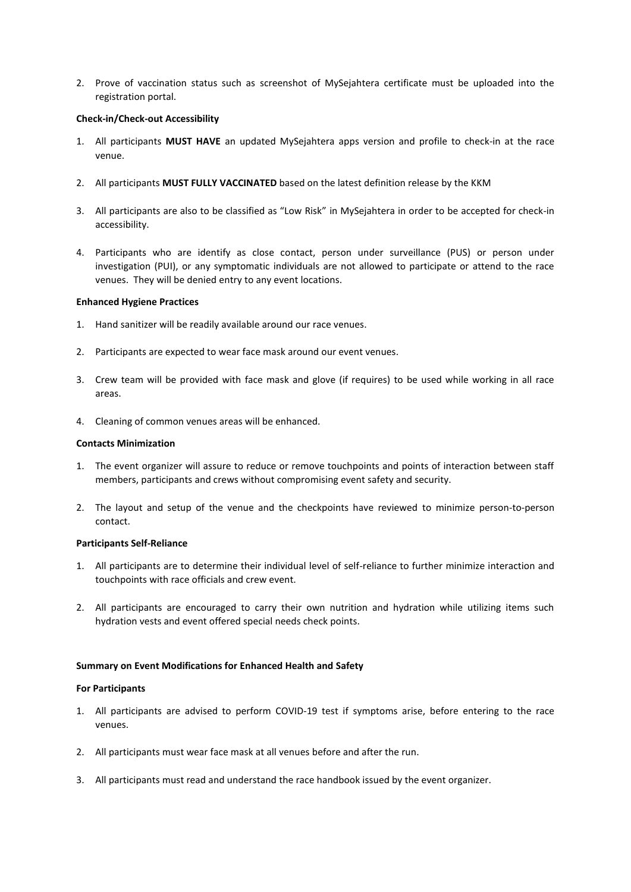2. Prove of vaccination status such as screenshot of MySejahtera certificate must be uploaded into the registration portal.

# **Check-in/Check-out Accessibility**

- 1. All participants **MUST HAVE** an updated MySejahtera apps version and profile to check-in at the race venue.
- 2. All participants **MUST FULLY VACCINATED** based on the latest definition release by the KKM
- 3. All participants are also to be classified as "Low Risk" in MySejahtera in order to be accepted for check-in accessibility.
- 4. Participants who are identify as close contact, person under surveillance (PUS) or person under investigation (PUI), or any symptomatic individuals are not allowed to participate or attend to the race venues. They will be denied entry to any event locations.

## **Enhanced Hygiene Practices**

- 1. Hand sanitizer will be readily available around our race venues.
- 2. Participants are expected to wear face mask around our event venues.
- 3. Crew team will be provided with face mask and glove (if requires) to be used while working in all race areas.
- 4. Cleaning of common venues areas will be enhanced.

## **Contacts Minimization**

- 1. The event organizer will assure to reduce or remove touchpoints and points of interaction between staff members, participants and crews without compromising event safety and security.
- 2. The layout and setup of the venue and the checkpoints have reviewed to minimize person-to-person contact.

## **Participants Self-Reliance**

- 1. All participants are to determine their individual level of self-reliance to further minimize interaction and touchpoints with race officials and crew event.
- 2. All participants are encouraged to carry their own nutrition and hydration while utilizing items such hydration vests and event offered special needs check points.

# **Summary on Event Modifications for Enhanced Health and Safety**

## **For Participants**

- 1. All participants are advised to perform COVID-19 test if symptoms arise, before entering to the race venues.
- 2. All participants must wear face mask at all venues before and after the run.
- 3. All participants must read and understand the race handbook issued by the event organizer.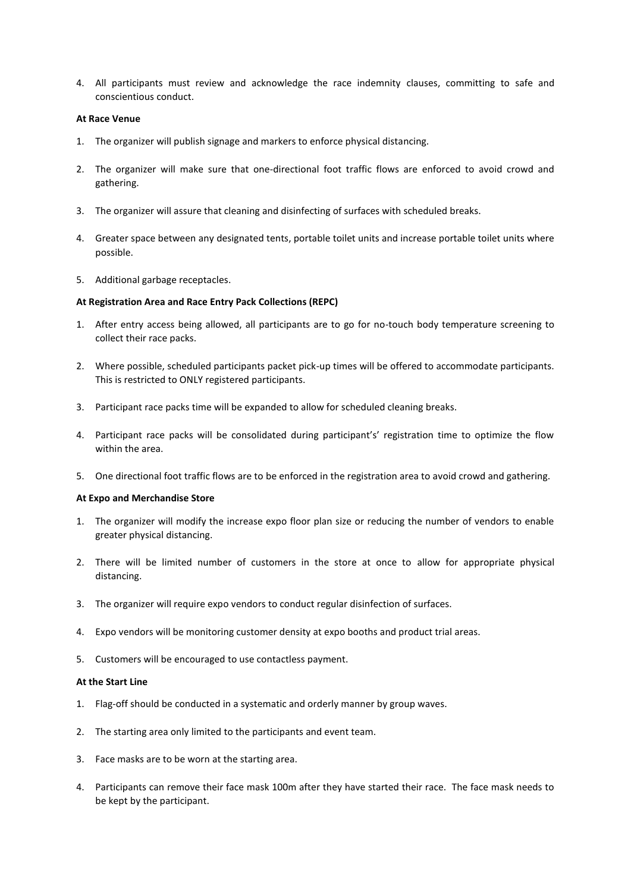4. All participants must review and acknowledge the race indemnity clauses, committing to safe and conscientious conduct.

# **At Race Venue**

- 1. The organizer will publish signage and markers to enforce physical distancing.
- 2. The organizer will make sure that one-directional foot traffic flows are enforced to avoid crowd and gathering.
- 3. The organizer will assure that cleaning and disinfecting of surfaces with scheduled breaks.
- 4. Greater space between any designated tents, portable toilet units and increase portable toilet units where possible.
- 5. Additional garbage receptacles.

# **At Registration Area and Race Entry Pack Collections (REPC)**

- 1. After entry access being allowed, all participants are to go for no-touch body temperature screening to collect their race packs.
- 2. Where possible, scheduled participants packet pick-up times will be offered to accommodate participants. This is restricted to ONLY registered participants.
- 3. Participant race packs time will be expanded to allow for scheduled cleaning breaks.
- 4. Participant race packs will be consolidated during participant's' registration time to optimize the flow within the area.
- 5. One directional foot traffic flows are to be enforced in the registration area to avoid crowd and gathering.

## **At Expo and Merchandise Store**

- 1. The organizer will modify the increase expo floor plan size or reducing the number of vendors to enable greater physical distancing.
- 2. There will be limited number of customers in the store at once to allow for appropriate physical distancing.
- 3. The organizer will require expo vendors to conduct regular disinfection of surfaces.
- 4. Expo vendors will be monitoring customer density at expo booths and product trial areas.
- 5. Customers will be encouraged to use contactless payment.

## **At the Start Line**

- 1. Flag-off should be conducted in a systematic and orderly manner by group waves.
- 2. The starting area only limited to the participants and event team.
- 3. Face masks are to be worn at the starting area.
- 4. Participants can remove their face mask 100m after they have started their race. The face mask needs to be kept by the participant.